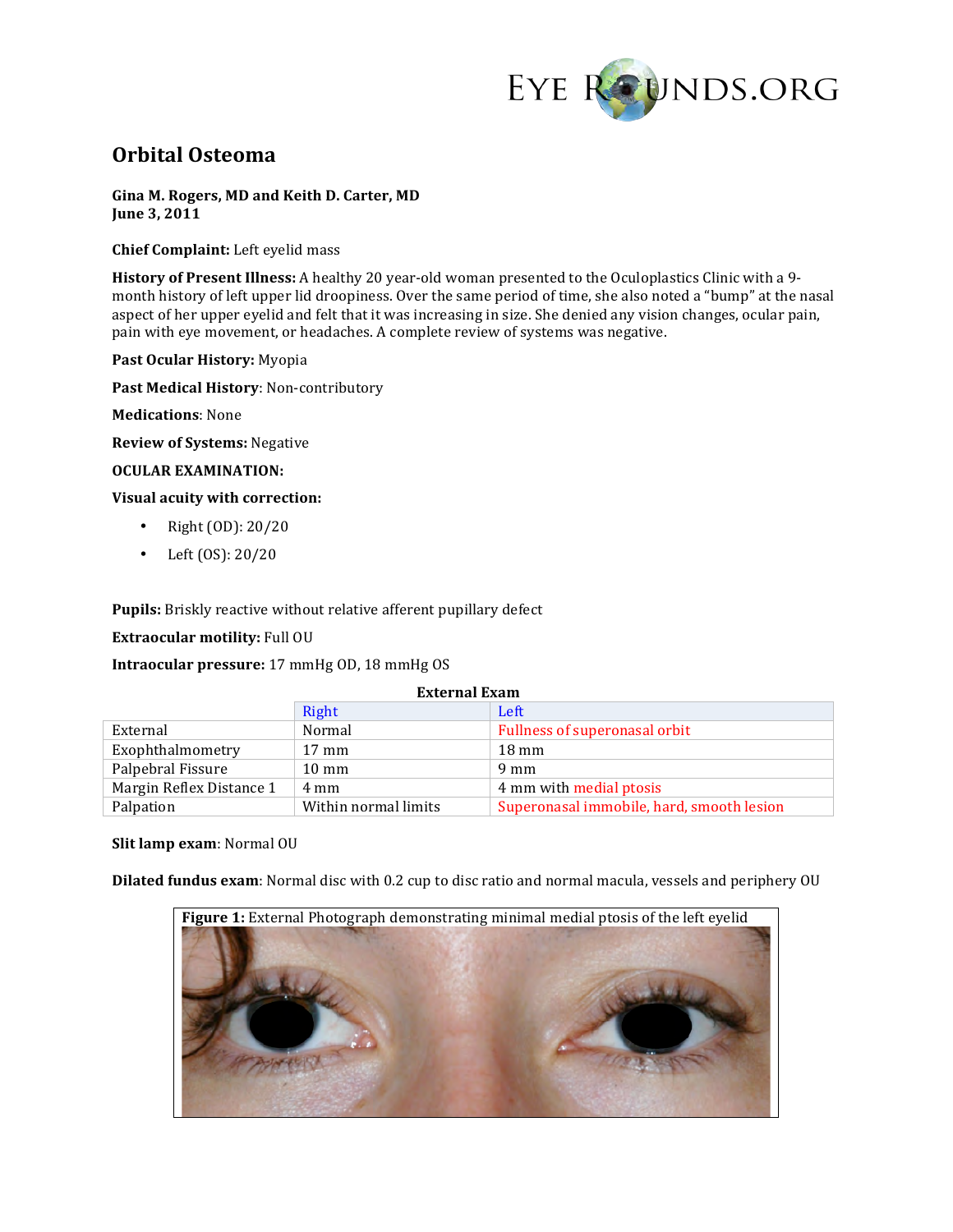

# **Orbital(Osteoma**

**Gina(M. Rogers, MD and Keith(D. Carter, MD June 3, 2011** 

**Chief Complaint:** Left eyelid mass

**History of Present Illness:** A healthy 20 year-old woman presented to the Oculoplastics Clinic with a 9month history of left upper lid droopiness. Over the same period of time, she also noted a "bump" at the nasal aspect of her upper eyelid and felt that it was increasing in size. She denied any vision changes, ocular pain, pain with eye movement, or headaches. A complete review of systems was negative.

Past Ocular History: Myopia

Past Medical History: Non-contributory

**Medications: None** 

**Review of Systems: Negative** 

### **OCULAR(EXAMINATION:**

**Visual acuity with correction:** 

- Right  $(OD): 20/20$
- Left  $(OS): 20/20$

Pupils: Briskly reactive without relative afferent pupillary defect

**Extraocular motility: Full OU** 

**Intraocular pressure:** 17 mmHg OD, 18 mmHg OS

| <b>External Exam</b>     |                      |                                           |
|--------------------------|----------------------|-------------------------------------------|
|                          | Right                | Left                                      |
| External                 | Normal               | Fullness of superonasal orbit             |
| Exophthalmometry         | $17 \text{ mm}$      | $18 \text{ mm}$                           |
| Palpebral Fissure        | $10 \text{ mm}$      | $9 \text{ mm}$                            |
| Margin Reflex Distance 1 | 4 mm                 | 4 mm with medial ptosis                   |
| Palpation                | Within normal limits | Superonasal immobile, hard, smooth lesion |

#### **Slit lamp exam: Normal OU**

**Dilated fundus exam**: Normal disc with 0.2 cup to disc ratio and normal macula, vessels and periphery OU

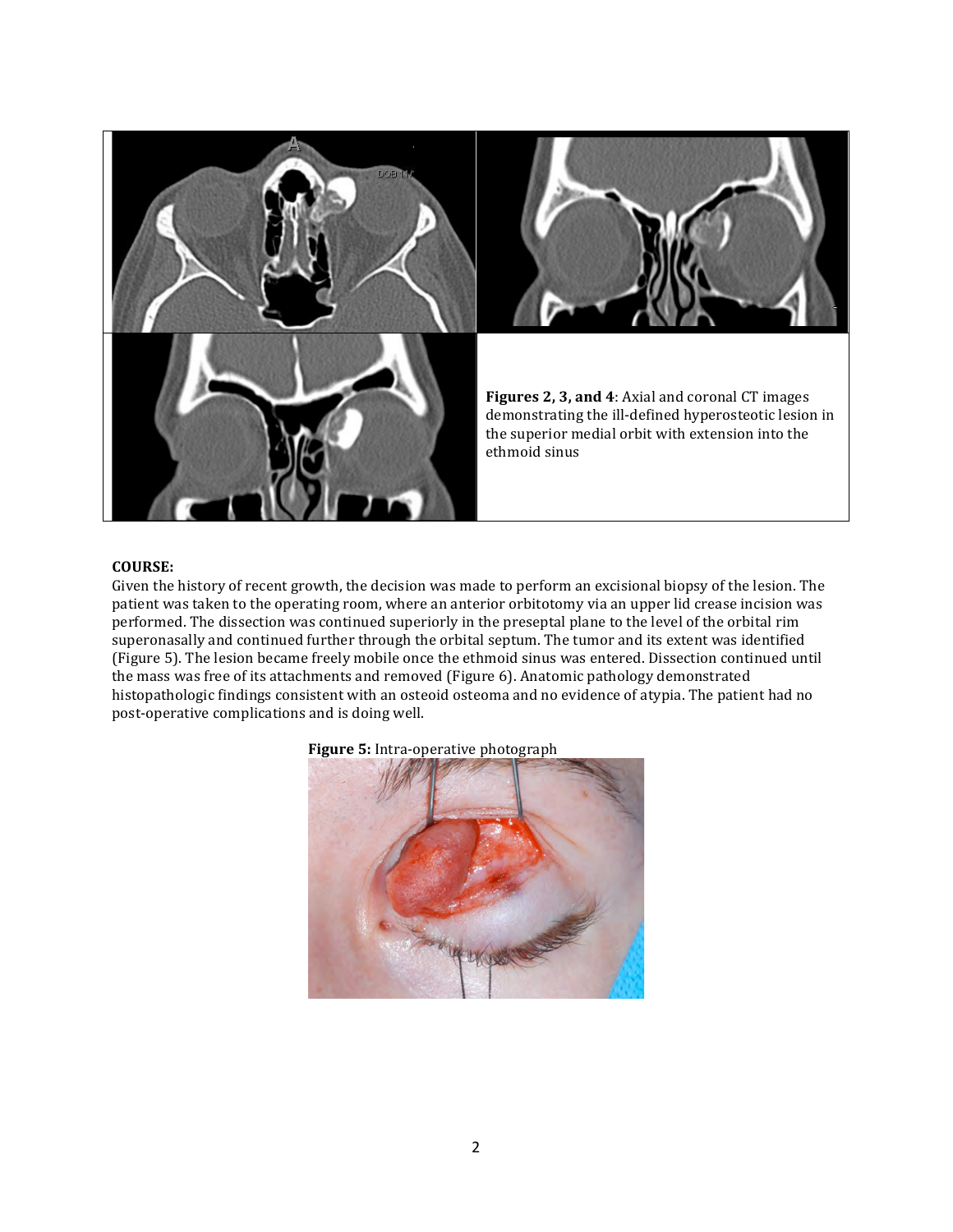

## **COURSE:**

Given the history of recent growth, the decision was made to perform an excisional biopsy of the lesion. The patient was taken to the operating room, where an anterior orbitotomy via an upper lid crease incision was performed. The dissection was continued superiorly in the preseptal plane to the level of the orbital rim superonasally and continued further through the orbital septum. The tumor and its extent was identified (Figure 5). The lesion became freely mobile once the ethmoid sinus was entered. Dissection continued until the mass was free of its attachments and removed (Figure 6). Anatomic pathology demonstrated histopathologic findings consistent with an osteoid osteoma and no evidence of atypia. The patient had no post-operative complications and is doing well.



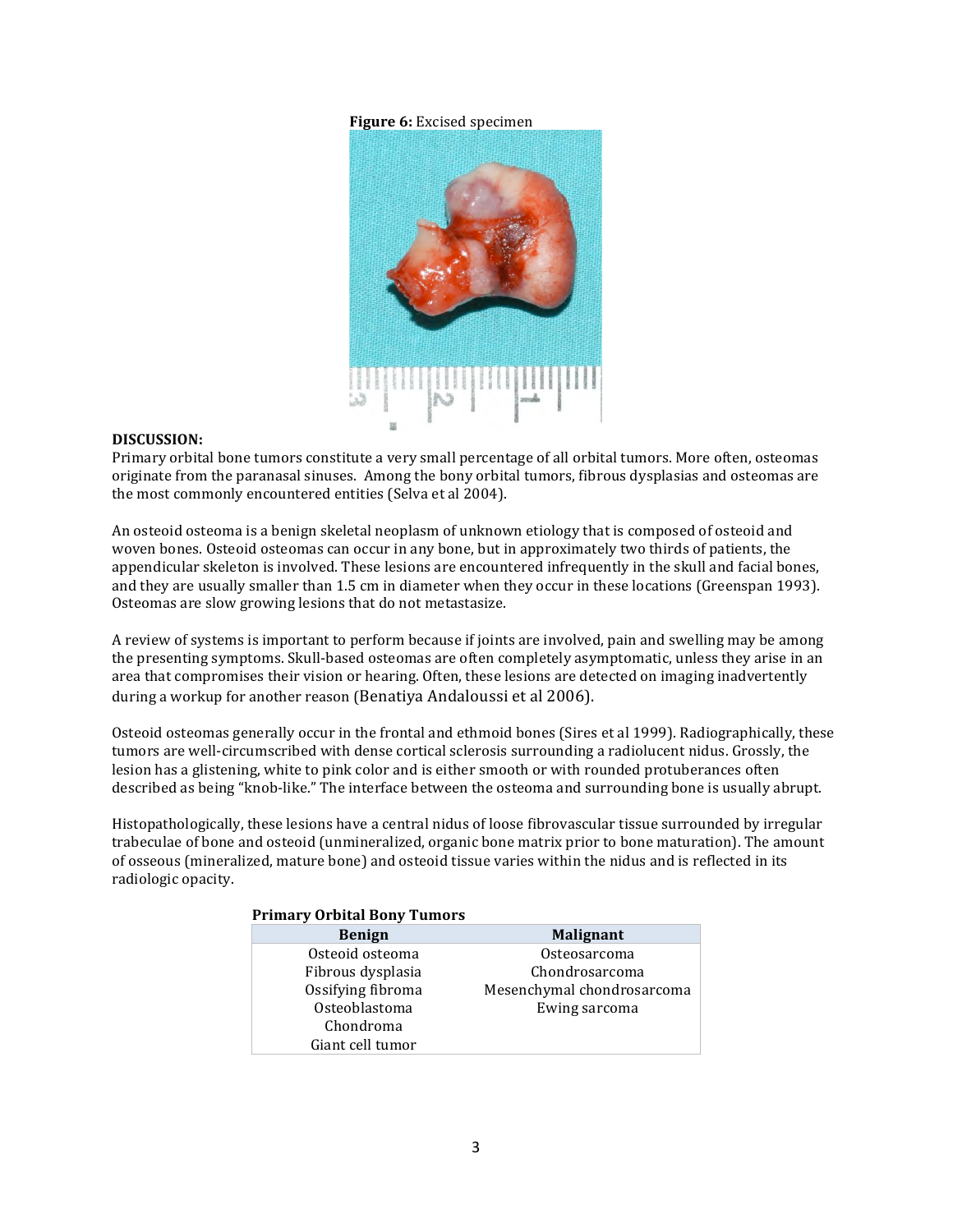### **Figure 6:** Excised specimen



#### **DISCUSSION:**

Primary orbital bone tumors constitute a very small percentage of all orbital tumors. More often, osteomas originate from the paranasal sinuses. Among the bony orbital tumors, fibrous dysplasias and osteomas are the most commonly encountered entities (Selva et al 2004).

An osteoid osteoma is a benign skeletal neoplasm of unknown etiology that is composed of osteoid and woven bones. Osteoid osteomas can occur in any bone, but in approximately two thirds of patients, the appendicular skeleton is involved. These lesions are encountered infrequently in the skull and facial bones, and they are usually smaller than 1.5 cm in diameter when they occur in these locations (Greenspan 1993). Osteomas are slow growing lesions that do not metastasize.

A review of systems is important to perform because if joints are involved, pain and swelling may be among the presenting symptoms. Skull-based osteomas are often completely asymptomatic, unless they arise in an area that compromises their vision or hearing. Often, these lesions are detected on imaging inadvertently during a workup for another reason (Benatiya Andaloussi et al 2006).

Osteoid osteomas generally occur in the frontal and ethmoid bones (Sires et al 1999). Radiographically, these tumors are well-circumscribed with dense cortical sclerosis surrounding a radiolucent nidus. Grossly, the lesion has a glistening, white to pink color and is either smooth or with rounded protuberances often described as being "knob-like." The interface between the osteoma and surrounding bone is usually abrupt.

Histopathologically, these lesions have a central nidus of loose fibrovascular tissue surrounded by irregular trabeculae of bone and osteoid (unmineralized, organic bone matrix prior to bone maturation). The amount of osseous (mineralized, mature bone) and osteoid tissue varies within the nidus and is reflected in its radiologic opacity.

| <b>Primary Orbital Bony Tumors</b> |                            |  |  |
|------------------------------------|----------------------------|--|--|
| <b>Benign</b>                      | <b>Malignant</b>           |  |  |
| Osteoid osteoma                    | Osteosarcoma               |  |  |
| Fibrous dysplasia                  | Chondrosarcoma             |  |  |
| Ossifying fibroma                  | Mesenchymal chondrosarcoma |  |  |
| Osteoblastoma                      | Ewing sarcoma              |  |  |
| Chondroma                          |                            |  |  |
| Giant cell tumor                   |                            |  |  |